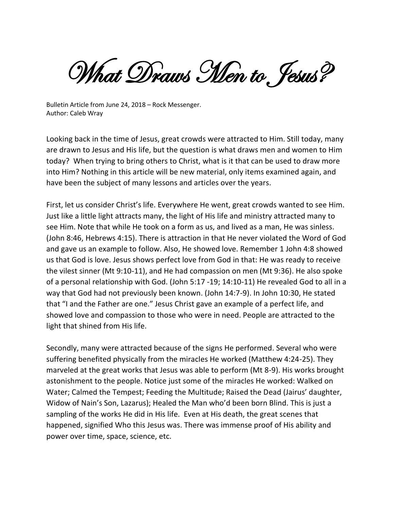What Draws Men to. Jesus?

Bulletin Article from June 24, 2018 – Rock Messenger. Author: Caleb Wray

Looking back in the time of Jesus, great crowds were attracted to Him. Still today, many are drawn to Jesus and His life, but the question is what draws men and women to Him today? When trying to bring others to Christ, what is it that can be used to draw more into Him? Nothing in this article will be new material, only items examined again, and have been the subject of many lessons and articles over the years.

First, let us consider Christ's life. Everywhere He went, great crowds wanted to see Him. Just like a little light attracts many, the light of His life and ministry attracted many to see Him. Note that while He took on a form as us, and lived as a man, He was sinless. (John 8:46, Hebrews 4:15). There is attraction in that He never violated the Word of God and gave us an example to follow. Also, He showed love. Remember 1 John 4:8 showed us that God is love. Jesus shows perfect love from God in that: He was ready to receive the vilest sinner (Mt 9:10-11), and He had compassion on men (Mt 9:36). He also spoke of a personal relationship with God. (John 5:17 -19; 14:10-11) He revealed God to all in a way that God had not previously been known. (John 14:7-9). In John 10:30, He stated that "I and the Father are one." Jesus Christ gave an example of a perfect life, and showed love and compassion to those who were in need. People are attracted to the light that shined from His life.

Secondly, many were attracted because of the signs He performed. Several who were suffering benefited physically from the miracles He worked (Matthew 4:24-25). They marveled at the great works that Jesus was able to perform (Mt 8-9). His works brought astonishment to the people. Notice just some of the miracles He worked: Walked on Water; Calmed the Tempest; Feeding the Multitude; Raised the Dead (Jairus' daughter, Widow of Nain's Son, Lazarus); Healed the Man who'd been born Blind. This is just a sampling of the works He did in His life. Even at His death, the great scenes that happened, signified Who this Jesus was. There was immense proof of His ability and power over time, space, science, etc.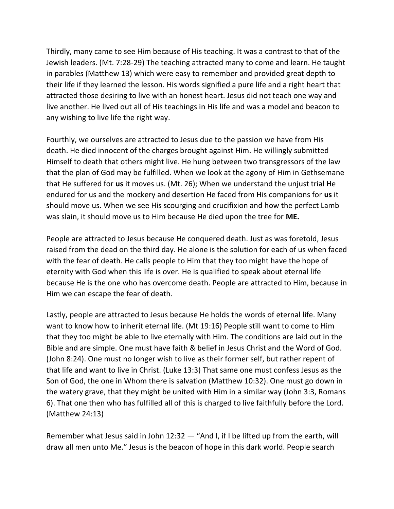Thirdly, many came to see Him because of His teaching. It was a contrast to that of the Jewish leaders. (Mt. 7:28-29) The teaching attracted many to come and learn. He taught in parables (Matthew 13) which were easy to remember and provided great depth to their life if they learned the lesson. His words signified a pure life and a right heart that attracted those desiring to live with an honest heart. Jesus did not teach one way and live another. He lived out all of His teachings in His life and was a model and beacon to any wishing to live life the right way.

Fourthly, we ourselves are attracted to Jesus due to the passion we have from His death. He died innocent of the charges brought against Him. He willingly submitted Himself to death that others might live. He hung between two transgressors of the law that the plan of God may be fulfilled. When we look at the agony of Him in Gethsemane that He suffered for **us** it moves us. (Mt. 26); When we understand the unjust trial He endured for us and the mockery and desertion He faced from His companions for **us** it should move us. When we see His scourging and crucifixion and how the perfect Lamb was slain, it should move us to Him because He died upon the tree for **ME.**

People are attracted to Jesus because He conquered death. Just as was foretold, Jesus raised from the dead on the third day. He alone is the solution for each of us when faced with the fear of death. He calls people to Him that they too might have the hope of eternity with God when this life is over. He is qualified to speak about eternal life because He is the one who has overcome death. People are attracted to Him, because in Him we can escape the fear of death.

Lastly, people are attracted to Jesus because He holds the words of eternal life. Many want to know how to inherit eternal life. (Mt 19:16) People still want to come to Him that they too might be able to live eternally with Him. The conditions are laid out in the Bible and are simple. One must have faith & belief in Jesus Christ and the Word of God. (John 8:24). One must no longer wish to live as their former self, but rather repent of that life and want to live in Christ. (Luke 13:3) That same one must confess Jesus as the Son of God, the one in Whom there is salvation (Matthew 10:32). One must go down in the watery grave, that they might be united with Him in a similar way (John 3:3, Romans 6). That one then who has fulfilled all of this is charged to live faithfully before the Lord. (Matthew 24:13)

Remember what Jesus said in John 12:32 — "And I, if I be lifted up from the earth, will draw all men unto Me." Jesus is the beacon of hope in this dark world. People search